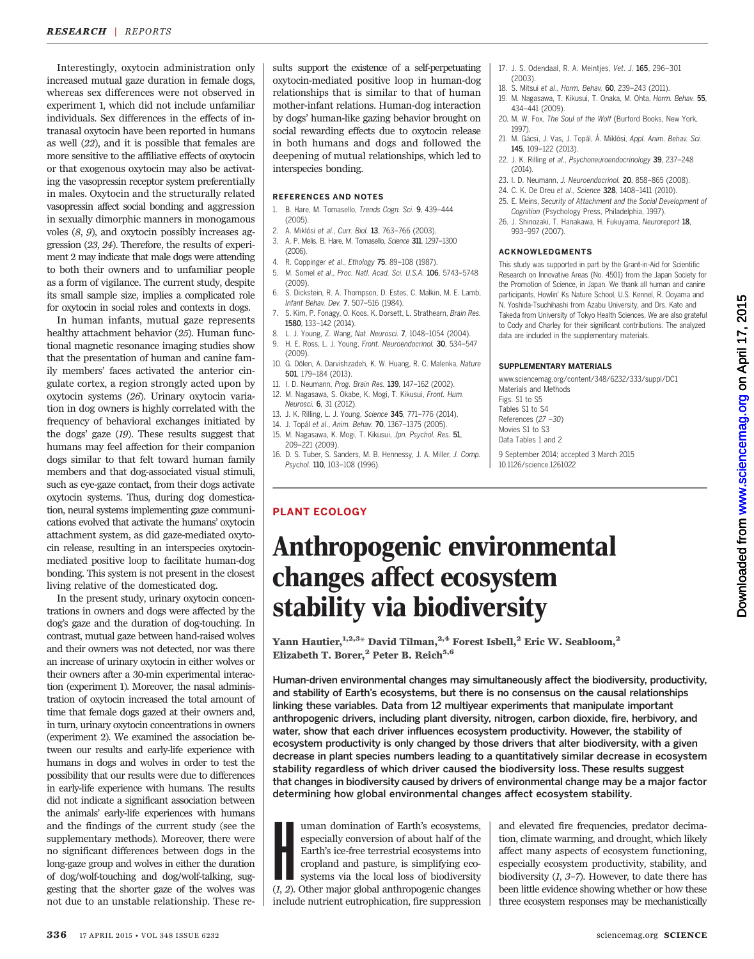Interestingly, oxytocin administration only increased mutual gaze duration in female dogs, whereas sex differences were not observed in experiment 1, which did not include unfamiliar individuals. Sex differences in the effects of intranasal oxytocin have been reported in humans as well (22), and it is possible that females are more sensitive to the affiliative effects of oxytocin or that exogenous oxytocin may also be activating the vasopressin receptor system preferentially in males. Oxytocin and the structurally related vasopressin affect social bonding and aggression in sexually dimorphic manners in monogamous voles (8, 9), and oxytocin possibly increases aggression (23, 24). Therefore, the results of experiment 2 may indicate that male dogs were attending to both their owners and to unfamiliar people as a form of vigilance. The current study, despite its small sample size, implies a complicated role for oxytocin in social roles and contexts in dogs.

In human infants, mutual gaze represents healthy attachment behavior (25). Human functional magnetic resonance imaging studies show that the presentation of human and canine family members' faces activated the anterior cingulate cortex, a region strongly acted upon by oxytocin systems (26). Urinary oxytocin variation in dog owners is highly correlated with the frequency of behavioral exchanges initiated by the dogs' gaze (19). These results suggest that humans may feel affection for their companion dogs similar to that felt toward human family members and that dog-associated visual stimuli, such as eye-gaze contact, from their dogs activate oxytocin systems. Thus, during dog domestication, neural systems implementing gaze communications evolved that activate the humans' oxytocin attachment system, as did gaze-mediated oxytocin release, resulting in an interspecies oxytocinmediated positive loop to facilitate human-dog bonding. This system is not present in the closest living relative of the domesticated dog.

In the present study, urinary oxytocin concentrations in owners and dogs were affected by the dog's gaze and the duration of dog-touching. In contrast, mutual gaze between hand-raised wolves and their owners was not detected, nor was there an increase of urinary oxytocin in either wolves or their owners after a 30-min experimental interaction (experiment 1). Moreover, the nasal administration of oxytocin increased the total amount of time that female dogs gazed at their owners and, in turn, urinary oxytocin concentrations in owners (experiment 2). We examined the association between our results and early-life experience with humans in dogs and wolves in order to test the possibility that our results were due to differences in early-life experience with humans. The results did not indicate a significant association between the animals' early-life experiences with humans and the findings of the current study (see the supplementary methods). Moreover, there were no significant differences between dogs in the long-gaze group and wolves in either the duration of dog/wolf-touching and dog/wolf-talking, suggesting that the shorter gaze of the wolves was not due to an unstable relationship. These re-

sults support the existence of a self-perpetuating oxytocin-mediated positive loop in human-dog relationships that is similar to that of human mother-infant relations. Human-dog interaction by dogs' human-like gazing behavior brought on social rewarding effects due to oxytocin release in both humans and dogs and followed the deepening of mutual relationships, which led to interspecies bonding.

### REFERENCES AND NOTES

- 1. B. Hare, M. Tomasello, Trends Cogn. Sci. 9, 439–444 (2005).
- 2. A. Miklósi et al., Curr. Biol. 13, 763–766 (2003).
- 3. A. P. Melis, B. Hare, M. Tomasello, Science 311, 1297–1300 (2006).
- 4. R. Coppinger et al., Ethology 75, 89–108 (1987). 5. M. Somel et al., Proc. Natl. Acad. Sci. U.S.A. 106, 5743–5748
- (2009). 6. S. Dickstein, R. A. Thompson, D. Estes, C. Malkin, M. E. Lamb,
- Infant Behav. Dev. 7, 507–516 (1984). S. Kim, P. Fonagy, O. Koos, K. Dorsett, L. Strathearn, Brain Res.
- 1580, 133–142 (2014). 8. L. J. Young, Z. Wang, Nat. Neurosci. 7, 1048–1054 (2004).
- 9. H. E. Ross, L. J. Young, Front. Neuroendocrinol. 30, 534–547 (2009).
- 10. G. Dölen, A. Darvishzadeh, K. W. Huang, R. C. Malenka, Nature 501, 179–184 (2013).
- 11. I. D. Neumann, Prog. Brain Res. 139, 147-162 (2002).

PLANT ECOLOGY

- 12. M. Nagasawa, S. Okabe, K. Mogi, T. Kikusui, Front. Hum.
- Neurosci. 6, 31 (2012). 13. J. K. Rilling, L. J. Young, Science 345, 771–776 (2014).
- 14. J. Topál et al., Anim. Behav. 70, 1367–1375 (2005).
- 15. M. Nagasawa, K. Mogi, T. Kikusui, Jpn. Psychol. Res. 51, 209–221 (2009).
- 16. D. S. Tuber, S. Sanders, M. B. Hennessy, J. A. Miller, J. Comp. Psychol. 110, 103–108 (1996).

#### 17. J. S. Odendaal, R. A. Meinties, Vet. J. 165, 296-301 (2003).

- 18. S. Mitsui et al., Horm. Behav. 60, 239–243 (2011).
- 19. M. Nagasawa, T. Kikusui, T. Onaka, M. Ohta, Horm. Behav. 55, 434–441 (2009).
- 20. M. W. Fox, The Soul of the Wolf (Burford Books, New York, 1997).
- 21. M. Gácsi, J. Vas, J. Topál, Á. Miklósi, Appl. Anim. Behav. Sci. 145, 109–122 (2013).
- 22. J. K. Rilling et al., Psychoneuroendocrinology 39, 237–248 (2014).
- 23. I. D. Neumann, J. Neuroendocrinol. 20, 858–865 (2008).
- 24. C. K. De Dreu et al., Science 328, 1408–1411 (2010).
- 25. E. Meins, Security of Attachment and the Social Development of Cognition (Psychology Press, Philadelphia, 1997).
- 26. J. Shinozaki, T. Hanakawa, H. Fukuyama, Neuroreport 18, 993–997 (2007).

### ACKNOWLEDGMENTS

This study was supported in part by the Grant-in-Aid for Scientific Research on Innovative Areas (No. 4501) from the Japan Society for the Promotion of Science, in Japan. We thank all human and canine participants, Howlin' Ks Nature School, U.S. Kennel, R. Ooyama and N. Yoshida-Tsuchihashi from Azabu University, and Drs. Kato and Takeda from University of Tokyo Health Sciences. We are also grateful to Cody and Charley for their significant contributions. The analyzed data are included in the supplementary materials.

### SUPPLEMENTARY MATERIALS

www.sciencemag.org/content/348/6232/333/suppl/DC1 Materials and Methods Figs. S1 to S5

Tables S1 to S4 References (27 –30) Movies S1 to S3 Data Tables 1 and 2

9 September 2014; accepted 3 March 2015 10.1126/science.1261022

# Anthropogenic environmental changes affect ecosystem stability via biodiversity

Yann Hautier,  $1,2,3+$  David Tilman,  $2,4$  Forest Isbell,  $2$  Eric W. Seabloom,  $2$ Elizabeth T. Borer,<sup>2</sup> Peter B. Reich<sup>5,6</sup>

Human-driven environmental changes may simultaneously affect the biodiversity, productivity, and stability of Earth*'*s ecosystems, but there is no consensus on the causal relationships linking these variables. Data from 12 multiyear experiments that manipulate important anthropogenic drivers, including plant diversity, nitrogen, carbon dioxide, fire, herbivory, and water, show that each driver influences ecosystem productivity. However, the stability of ecosystem productivity is only changed by those drivers that alter biodiversity, with a given decrease in plant species numbers leading to a quantitatively similar decrease in ecosystem stability regardless of which driver caused the biodiversity loss. These results suggest that changes in biodiversity caused by drivers of environmental change may be a major factor determining how global environmental changes affect ecosystem stability.

I uman domination of Earth's ecosystems,<br>especially conversion of about half of the<br>Earth's ice-free terrestrial ecosystems into<br>cropland and pasture, is simplifying eco-<br>systems via the local loss of biodiversity<br>(1, 2). uman domination of Earth's ecosystems, especially conversion of about half of the Earth's ice-free terrestrial ecosystems into cropland and pasture, is simplifying ecosystems via the local loss of biodiversity include nutrient eutrophication, fire suppression

and elevated fire frequencies, predator decimation, climate warming, and drought, which likely affect many aspects of ecosystem functioning, especially ecosystem productivity, stability, and biodiversity  $(1, 3-7)$ . However, to date there has been little evidence showing whether or how these three ecosystem responses may be mechanistically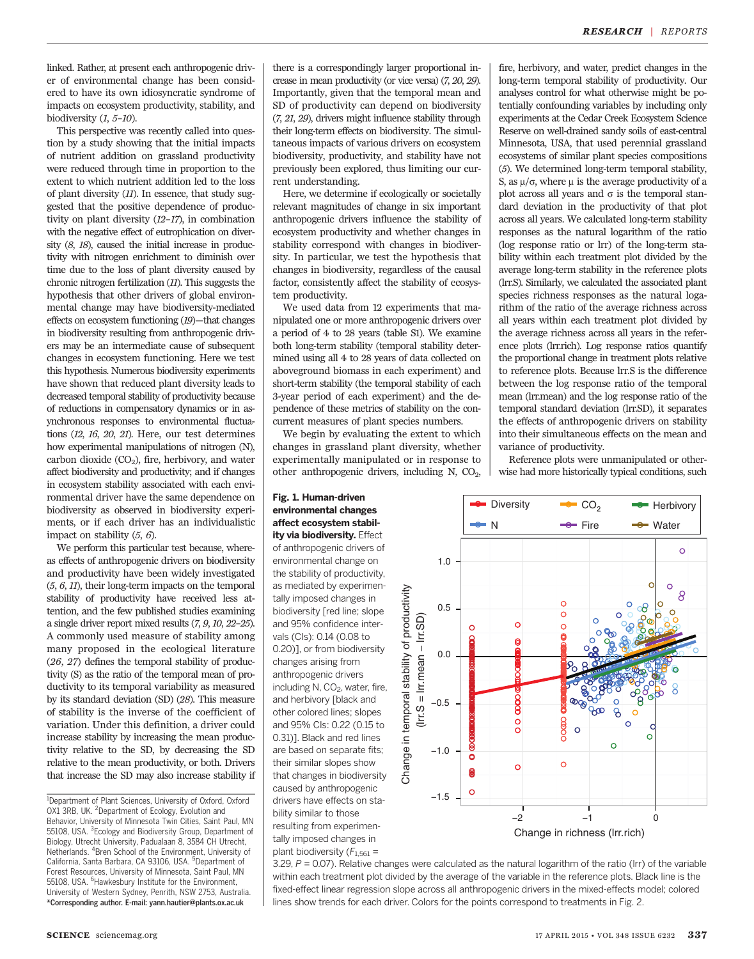linked. Rather, at present each anthropogenic driver of environmental change has been considered to have its own idiosyncratic syndrome of impacts on ecosystem productivity, stability, and biodiversity  $(1, 5\negthinspace -\negthinspace 10)$ .

This perspective was recently called into question by a study showing that the initial impacts of nutrient addition on grassland productivity were reduced through time in proportion to the extent to which nutrient addition led to the loss of plant diversity (11). In essence, that study suggested that the positive dependence of productivity on plant diversity (12–17), in combination with the negative effect of eutrophication on diversity (8, 18), caused the initial increase in productivity with nitrogen enrichment to diminish over time due to the loss of plant diversity caused by chronic nitrogen fertilization (11). This suggests the hypothesis that other drivers of global environmental change may have biodiversity-mediated effects on ecosystem functioning (19)—that changes in biodiversity resulting from anthropogenic drivers may be an intermediate cause of subsequent changes in ecosystem functioning. Here we test this hypothesis. Numerous biodiversity experiments have shown that reduced plant diversity leads to decreased temporal stability of productivity because of reductions in compensatory dynamics or in asynchronous responses to environmental fluctuations (12, 16, 20, 21). Here, our test determines how experimental manipulations of nitrogen (N), carbon dioxide  $(CO<sub>2</sub>)$ , fire, herbivory, and water affect biodiversity and productivity; and if changes in ecosystem stability associated with each environmental driver have the same dependence on biodiversity as observed in biodiversity experiments, or if each driver has an individualistic impact on stability  $(5, 6)$ .

We perform this particular test because, whereas effects of anthropogenic drivers on biodiversity and productivity have been widely investigated  $(5, 6, 11)$ , their long-term impacts on the temporal stability of productivity have received less attention, and the few published studies examining a single driver report mixed results (7, 9, 10, 22–25). A commonly used measure of stability among many proposed in the ecological literature (26, 27) defines the temporal stability of productivity (S) as the ratio of the temporal mean of productivity to its temporal variability as measured by its standard deviation (SD) (28). This measure of stability is the inverse of the coefficient of variation. Under this definition, a driver could increase stability by increasing the mean productivity relative to the SD, by decreasing the SD relative to the mean productivity, or both. Drivers that increase the SD may also increase stability if

there is a correspondingly larger proportional increase in mean productivity (or vice versa) (7, 20, 29). Importantly, given that the temporal mean and SD of productivity can depend on biodiversity (7, 21, 29), drivers might influence stability through their long-term effects on biodiversity. The simultaneous impacts of various drivers on ecosystem biodiversity, productivity, and stability have not previously been explored, thus limiting our current understanding.

Here, we determine if ecologically or societally relevant magnitudes of change in six important anthropogenic drivers influence the stability of ecosystem productivity and whether changes in stability correspond with changes in biodiversity. In particular, we test the hypothesis that changes in biodiversity, regardless of the causal factor, consistently affect the stability of ecosystem productivity.

We used data from 12 experiments that manipulated one or more anthropogenic drivers over a period of 4 to 28 years (table S1). We examine both long-term stability (temporal stability determined using all 4 to 28 years of data collected on aboveground biomass in each experiment) and short-term stability (the temporal stability of each 3-year period of each experiment) and the dependence of these metrics of stability on the concurrent measures of plant species numbers.

We begin by evaluating the extent to which changes in grassland plant diversity, whether experimentally manipulated or in response to other anthropogenic drivers, including  $N$ ,  $CO<sub>2</sub>$ ,

### Fig. 1. Human-driven environmental changes affect ecosystem stabil-

ity via biodiversity. Effect of anthropogenic drivers of environmental change on the stability of productivity, as mediated by experimentally imposed changes in biodiversity [red line; slope and 95% confidence intervals (CIs): 0.14 (0.08 to 0.20)], or from biodiversity changes arising from anthropogenic drivers including N,  $CO<sub>2</sub>$ , water, fire, and herbivory [black and other colored lines; slopes and 95% CIs: 0.22 (0.15 to 0.31)]. Black and red lines are based on separate fits; their similar slopes show that changes in biodiversity caused by anthropogenic drivers have effects on stability similar to those resulting from experimentally imposed changes in plant biodiversity ( $F_{1,561}$  =

fire, herbivory, and water, predict changes in the long-term temporal stability of productivity. Our analyses control for what otherwise might be potentially confounding variables by including only experiments at the Cedar Creek Ecosystem Science Reserve on well-drained sandy soils of east-central Minnesota, USA, that used perennial grassland ecosystems of similar plant species compositions (5). We determined long-term temporal stability, S, as  $\mu/\sigma$ , where  $\mu$  is the average productivity of a plot across all years and  $\sigma$  is the temporal standard deviation in the productivity of that plot across all years. We calculated long-term stability responses as the natural logarithm of the ratio (log response ratio or lrr) of the long-term stability within each treatment plot divided by the average long-term stability in the reference plots (lrr.S). Similarly, we calculated the associated plant species richness responses as the natural logarithm of the ratio of the average richness across all years within each treatment plot divided by the average richness across all years in the reference plots (lrr.rich). Log response ratios quantify the proportional change in treatment plots relative to reference plots. Because lrr.S is the difference between the log response ratio of the temporal mean (lrr.mean) and the log response ratio of the temporal standard deviation (lrr.SD), it separates the effects of anthropogenic drivers on stability into their simultaneous effects on the mean and variance of productivity.

Reference plots were unmanipulated or otherwise had more historically typical conditions, such



3.29,  $P = 0.07$ ). Relative changes were calculated as the natural logarithm of the ratio (Irr) of the variable within each treatment plot divided by the average of the variable in the reference plots. Black line is the fixed-effect linear regression slope across all anthropogenic drivers in the mixed-effects model; colored lines show trends for each driver. Colors for the points correspond to treatments in Fig. 2.

<sup>&</sup>lt;sup>1</sup>Department of Plant Sciences, University of Oxford, Oxford OX1 3RB, UK. <sup>2</sup>Department of Ecology, Evolution and Behavior, University of Minnesota Twin Cities, Saint Paul, MN 55108, USA. <sup>3</sup>Ecology and Biodiversity Group, Department of Biology, Utrecht University, Padualaan 8, 3584 CH Utrecht, Netherlands. <sup>4</sup>Bren School of the Environment, University of California, Santa Barbara, CA 93106, USA. <sup>5</sup>Department of Forest Resources, University of Minnesota, Saint Paul, MN 55108, USA. <sup>6</sup>Hawkesbury Institute for the Environment, University of Western Sydney, Penrith, NSW 2753, Australia. \*Corresponding author. E-mail: yann.hautier@plants.ox.ac.uk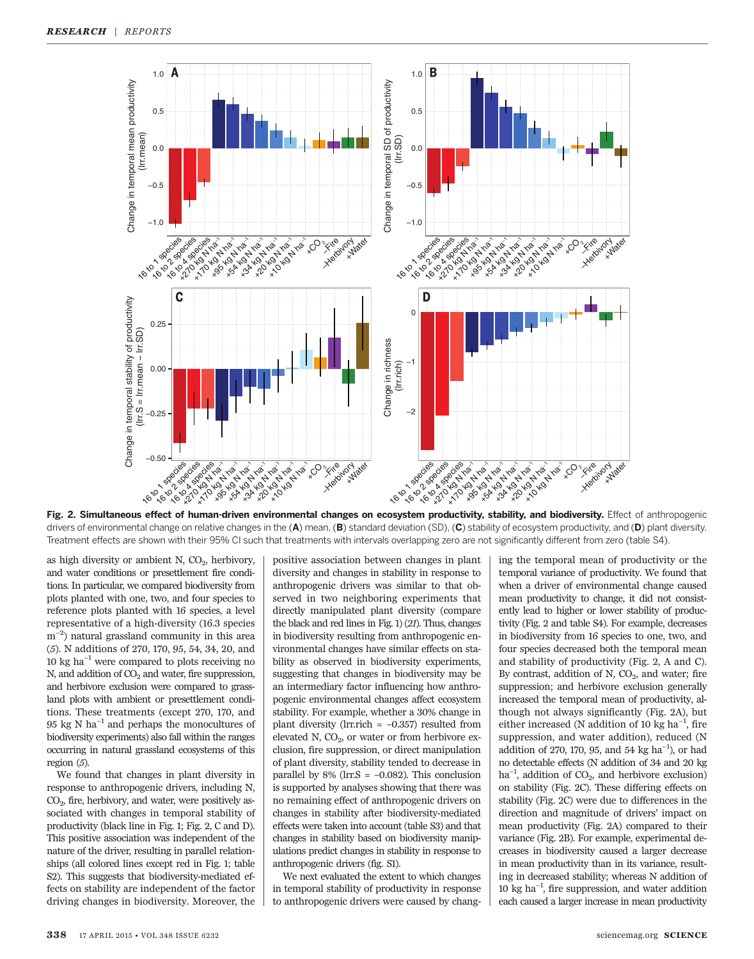

Fig. 2. Simultaneous effect of human-driven environmental changes on ecosystem productivity, stability, and biodiversity. Effect of anthropogenic drivers of environmental change on relative changes in the  $(A)$  mean,  $(B)$  standard deviation (SD),  $(C)$  stability of ecosystem productivity, and  $(D)$  plant diversity. Treatment effects are shown with their 95% CI such that treatments with intervals overlapping zero are not significantly different from zero (table S4).

as high diversity or ambient N,  $CO<sub>2</sub>$ , herbivory, and water conditions or presettlement fire conditions. In particular, we compared biodiversity from plots planted with one, two, and four species to reference plots planted with 16 species, a level representative of a high-diversity (16.3 species m−<sup>2</sup> ) natural grassland community in this area (5). N additions of 270, 170, 95, 54, 34, 20, and 10 kg ha−<sup>1</sup> were compared to plots receiving no N, and addition of  $CO<sub>2</sub>$  and water, fire suppression, and herbivore exclusion were compared to grassland plots with ambient or presettlement conditions. These treatments (except 270, 170, and 95 kg N ha<sup> $-1$ </sup> and perhaps the monocultures of biodiversity experiments) also fall within the ranges occurring in natural grassland ecosystems of this region (5).

We found that changes in plant diversity in response to anthropogenic drivers, including N, CO<sub>2</sub>, fire, herbivory, and water, were positively associated with changes in temporal stability of productivity (black line in Fig. 1; Fig. 2, C and D). This positive association was independent of the nature of the driver, resulting in parallel relationships (all colored lines except red in Fig. 1; table S2). This suggests that biodiversity-mediated effects on stability are independent of the factor driving changes in biodiversity. Moreover, the

positive association between changes in plant diversity and changes in stability in response to anthropogenic drivers was similar to that observed in two neighboring experiments that directly manipulated plant diversity (compare the black and red lines in Fig. 1) (21). Thus, changes in biodiversity resulting from anthropogenic environmental changes have similar effects on stability as observed in biodiversity experiments, suggesting that changes in biodiversity may be an intermediary factor influencing how anthropogenic environmental changes affect ecosystem stability. For example, whether a 30% change in plant diversity (lrr.rich  $= -0.357$ ) resulted from elevated N,  $CO<sub>2</sub>$ , or water or from herbivore exclusion, fire suppression, or direct manipulation of plant diversity, stability tended to decrease in parallel by  $8\%$  (lrr.S =  $-0.082$ ). This conclusion is supported by analyses showing that there was no remaining effect of anthropogenic drivers on changes in stability after biodiversity-mediated effects were taken into account (table S3) and that changes in stability based on biodiversity manipulations predict changes in stability in response to anthropogenic drivers (fig. S1).

We next evaluated the extent to which changes in temporal stability of productivity in response to anthropogenic drivers were caused by changing the temporal mean of productivity or the temporal variance of productivity. We found that when a driver of environmental change caused mean productivity to change, it did not consistently lead to higher or lower stability of productivity (Fig. 2 and table S4). For example, decreases in biodiversity from 16 species to one, two, and four species decreased both the temporal mean and stability of productivity (Fig. 2, A and C). By contrast, addition of  $N$ ,  $CO<sub>2</sub>$ , and water; fire suppression; and herbivore exclusion generally increased the temporal mean of productivity, although not always significantly (Fig. 2A), but either increased (N addition of 10 kg  $ha^{-1}$ , fire suppression, and water addition), reduced (N addition of 270, 170, 95, and 54 kg  $ha^{-1}$ ), or had no detectable effects (N addition of 34 and 20 kg ha<sup>-1</sup>, addition of CO<sub>2</sub>, and herbivore exclusion) on stability (Fig. 2C). These differing effects on stability (Fig. 2C) were due to differences in the direction and magnitude of drivers' impact on mean productivity (Fig. 2A) compared to their variance (Fig. 2B). For example, experimental decreases in biodiversity caused a larger decrease in mean productivity than in its variance, resulting in decreased stability; whereas N addition of 10 kg ha−<sup>1</sup> , fire suppression, and water addition each caused a larger increase in mean productivity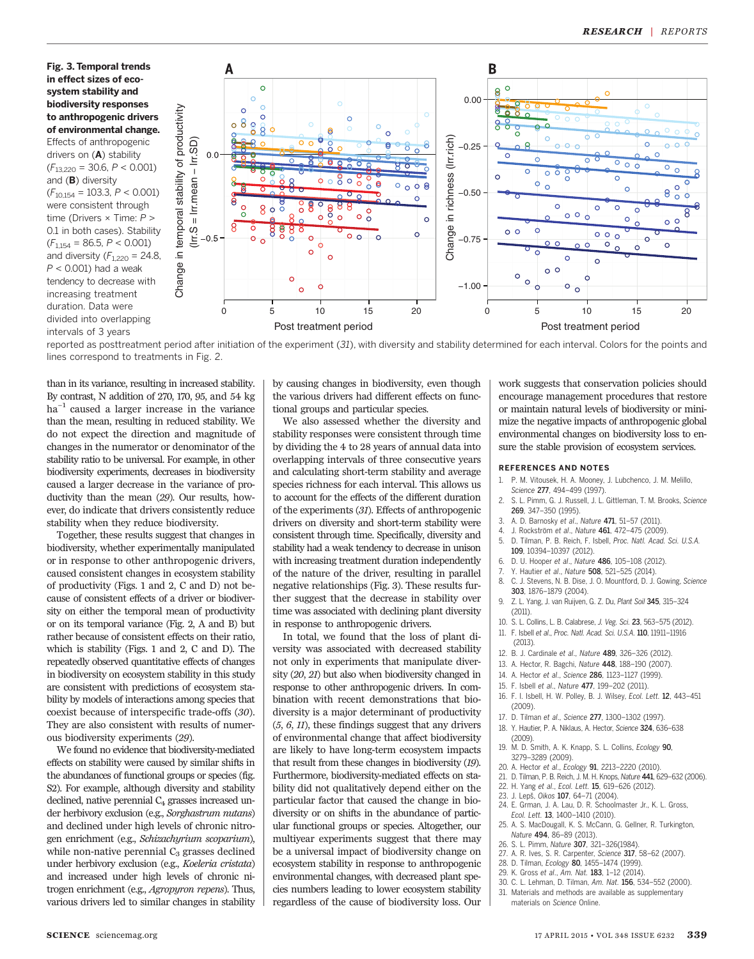Fig. 3. Temporal trends in effect sizes of ecosystem stability and biodiversity responses to anthropogenic drivers of environmental change. Effects of anthropogenic drivers on (A) stability  $(F_{13,220} = 30.6, P < 0.001)$ and (B) diversity  $(F_{10,154} = 103.3, P < 0.001)$ were consistent through time (Drivers × Time: P > 0.1 in both cases). Stability  $(F_{1,154} = 86.5, P < 0.001)$ and diversity  $(F<sub>1,220</sub> = 24.8,$  $P < 0.001$ ) had a weak tendency to decrease with increasing treatment duration. Data were divided into overlapping intervals of 3 years



reported as posttreatment period after initiation of the experiment (31), with diversity and stability determined for each interval. Colors for the points and lines correspond to treatments in Fig. 2.

than in its variance, resulting in increased stability. By contrast, N addition of 270, 170, 95, and 54 kg ha<sup>-1</sup> caused a larger increase in the variance than the mean, resulting in reduced stability. We do not expect the direction and magnitude of changes in the numerator or denominator of the stability ratio to be universal. For example, in other biodiversity experiments, decreases in biodiversity caused a larger decrease in the variance of productivity than the mean (29). Our results, however, do indicate that drivers consistently reduce stability when they reduce biodiversity.

Together, these results suggest that changes in biodiversity, whether experimentally manipulated or in response to other anthropogenic drivers, caused consistent changes in ecosystem stability of productivity (Figs. 1 and 2, C and D) not because of consistent effects of a driver or biodiversity on either the temporal mean of productivity or on its temporal variance (Fig. 2, A and B) but rather because of consistent effects on their ratio, which is stability (Figs. 1 and 2, C and D). The repeatedly observed quantitative effects of changes in biodiversity on ecosystem stability in this study are consistent with predictions of ecosystem stability by models of interactions among species that coexist because of interspecific trade-offs (30). They are also consistent with results of numerous biodiversity experiments (29).

We found no evidence that biodiversity-mediated effects on stability were caused by similar shifts in the abundances of functional groups or species (fig. S2). For example, although diversity and stability declined, native perennial  $C_4$  grasses increased under herbivory exclusion (e.g., Sorghastrum nutans) and declined under high levels of chronic nitrogen enrichment (e.g., Schizachyrium scoparium), while non-native perennial  $C_3$  grasses declined under herbivory exclusion (e.g., Koeleria cristata) and increased under high levels of chronic nitrogen enrichment (e.g., Agropyron repens). Thus, various drivers led to similar changes in stability

by causing changes in biodiversity, even though the various drivers had different effects on functional groups and particular species.

We also assessed whether the diversity and stability responses were consistent through time by dividing the 4 to 28 years of annual data into overlapping intervals of three consecutive years and calculating short-term stability and average species richness for each interval. This allows us to account for the effects of the different duration of the experiments (31). Effects of anthropogenic drivers on diversity and short-term stability were consistent through time. Specifically, diversity and stability had a weak tendency to decrease in unison with increasing treatment duration independently of the nature of the driver, resulting in parallel negative relationships (Fig. 3). These results further suggest that the decrease in stability over time was associated with declining plant diversity in response to anthropogenic drivers.

In total, we found that the loss of plant diversity was associated with decreased stability not only in experiments that manipulate diversity (20, 21) but also when biodiversity changed in response to other anthropogenic drivers. In combination with recent demonstrations that biodiversity is a major determinant of productivity (5, 6, 11), these findings suggest that any drivers of environmental change that affect biodiversity are likely to have long-term ecosystem impacts that result from these changes in biodiversity (19). Furthermore, biodiversity-mediated effects on stability did not qualitatively depend either on the particular factor that caused the change in biodiversity or on shifts in the abundance of particular functional groups or species. Altogether, our multiyear experiments suggest that there may be a universal impact of biodiversity change on ecosystem stability in response to anthropogenic environmental changes, with decreased plant species numbers leading to lower ecosystem stability regardless of the cause of biodiversity loss. Our

work suggests that conservation policies should encourage management procedures that restore or maintain natural levels of biodiversity or minimize the negative impacts of anthropogenic global environmental changes on biodiversity loss to ensure the stable provision of ecosystem services.

#### REFERENCES AND NOTES

- 1. P. M. Vitousek, H. A. Mooney, J. Lubchenco, J. M. Melillo, Science 277, 494-499 (1997).
- 2. S. L. Pimm, G. J. Russell, J. L. Gittleman, T. M. Brooks, Science 269, 347–350 (1995).
- 3. A. D. Barnosky et al., Nature 471, 51–57 (2011).
- J. Rockström et al., Nature 461, 472-475 (2009).
- 5. D. Tilman, P. B. Reich, F. Isbell, Proc. Natl. Acad. Sci. U.S.A. 109, 10394–10397 (2012).
- 6. D. U. Hooper et al., Nature 486, 105–108 (2012).
- Y. Hautier et al., Nature 508, 521-525 (2014).
- 8. C. J. Stevens, N. B. Dise, J. O. Mountford, D. J. Gowing, Science 303, 1876–1879 (2004).
- 9. Z. L. Yang, J. van Ruijven, G. Z. Du, Plant Soil 345, 315–324  $(2011)$
- 10. S. L. Collins, L. B. Calabrese, J. Veg. Sci. 23, 563–575 (2012).
- 11. F. Isbell et al., Proc. Natl. Acad. Sci. U.S.A. 110, 11911–11916
- (2013). 12. B. J. Cardinale et al., Nature 489, 326–326 (2012).
- 
- 13. A. Hector, R. Bagchi, Nature 448, 188–190 (2007). 14. A. Hector et al., Science 286, 1123–1127 (1999).
- 15. F. Isbell et al., Nature 477, 199–202 (2011).
- 16. F. I. Isbell, H. W. Polley, B. J. Wilsey, Ecol. Lett. 12, 443–451 (2009).
- 17. D. Tilman et al., Science 277, 1300–1302 (1997). 18. Y. Hautier, P. A. Niklaus, A. Hector, Science 324, 636–638
- (2009). 19. M. D. Smith, A. K. Knapp, S. L. Collins, Ecology 90,
- 3279–3289 (2009).
- 20. A. Hector et al., Ecology 91, 2213–2220 (2010).
- 21. D. Tilman, P. B. Reich, J. M. H. Knops, Nature 441, 629–632 (2006).
- 22. H. Yang et al., Ecol. Lett. 15, 619–626 (2012).
- 23. J. Lep*š*, Oikos 107, 64–71 (2004).
- 24. E. Grman, J. A. Lau, D. R. Schoolmaster Jr., K. L. Gross, Ecol. Lett. 13, 1400–1410 (2010).
- 25. A. S. MacDougall, K. S. McCann, G. Gellner, R. Turkington, Nature 494, 86–89 (2013).
- 26. S. L. Pimm, Nature 307, 321–326(1984).
- 27. A. R. Ives, S. R. Carpenter, Science 317, 58–62 (2007).
- 28. D. Tilman, Ecology 80, 1455–1474 (1999). 29. K. Gross et al., Am. Nat. 183, 1–12 (2014).
- 30. C. L. Lehman, D. Tilman, Am. Nat. 156, 534–552 (2000).
- 31. Materials and methods are available as supplementary
- materials on Science Online.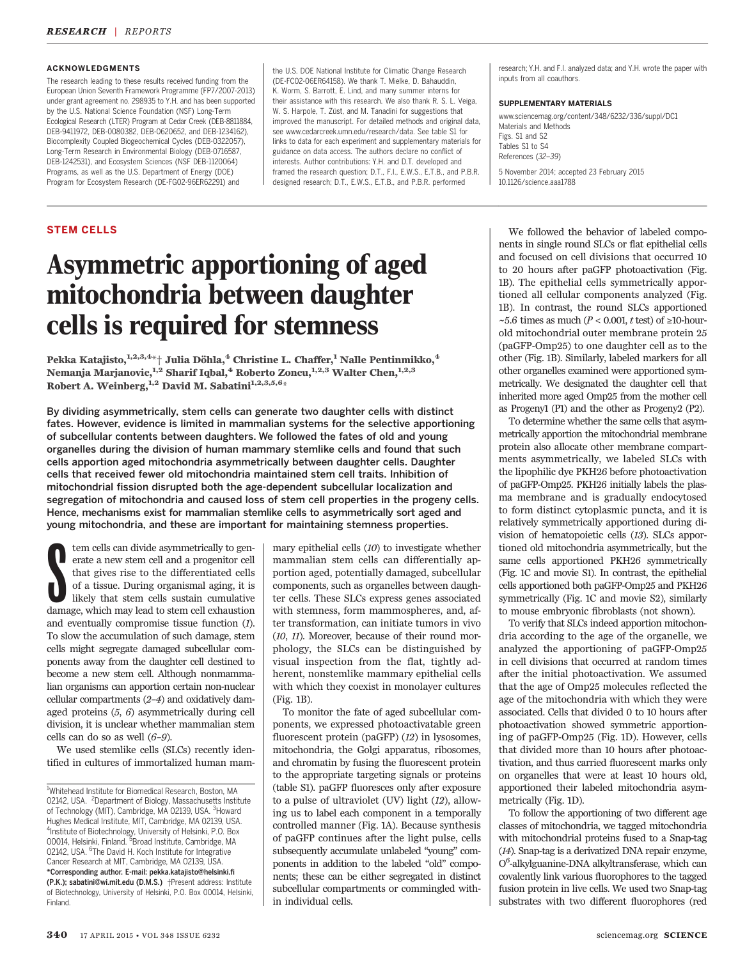### ACKNOWLEDGMENTS

The research leading to these results received funding from the European Union Seventh Framework Programme (FP7/2007-2013) under grant agreement no. 298935 to Y.H. and has been supported by the U.S. National Science Foundation (NSF) Long-Term Ecological Research (LTER) Program at Cedar Creek (DEB-8811884, DEB-9411972, DEB-0080382, DEB-0620652, and DEB-1234162), Biocomplexity Coupled Biogeochemical Cycles (DEB-0322057), Long-Term Research in Environmental Biology (DEB-0716587, DEB-1242531), and Ecosystem Sciences (NSF DEB-1120064) Programs, as well as the U.S. Department of Energy (DOE) Program for Ecosystem Research (DE-FG02-96ER62291) and

the U.S. DOE National Institute for Climatic Change Research (DE-FC02-06ER64158). We thank T. Mielke, D. Bahauddin, K. Worm, S. Barrott, E. Lind, and many summer interns for their assistance with this research. We also thank R. S. L. Veiga, W. S. Harpole, T. Züst, and M. Tanadini for suggestions that improved the manuscript. For detailed methods and original data, see www.cedarcreek.umn.edu/research/data. See table S1 for links to data for each experiment and supplementary materials for guidance on data access. The authors declare no conflict of interests. Author contributions: Y.H. and D.T. developed and framed the research question; D.T., F.I., E.W.S., E.T.B., and P.B.R. designed research; D.T., E.W.S., E.T.B., and P.B.R. performed

### STEM CELLS

# Asymmetric apportioning of aged mitochondria between daughter cells is required for stemness

Pekka Katajisto,<sup>1,2,3,4\*</sup>† Julia Döhla,<sup>4</sup> Christine L. Chaffer,<sup>1</sup> Nalle Pentinmikko,<sup>4</sup> Nemanja Marjanovic,<sup>1,2</sup> Sharif Iqbal,<sup>4</sup> Roberto Zoncu,<sup>1,2,3</sup> Walter Chen,<sup>1,2,3</sup> Robert A. Weinberg,  $1,2$  David M. Sabatini $1,2,3,5,6$ \*

By dividing asymmetrically, stem cells can generate two daughter cells with distinct fates. However, evidence is limited in mammalian systems for the selective apportioning of subcellular contents between daughters. We followed the fates of old and young organelles during the division of human mammary stemlike cells and found that such cells apportion aged mitochondria asymmetrically between daughter cells. Daughter cells that received fewer old mitochondria maintained stem cell traits. Inhibition of mitochondrial fission disrupted both the age-dependent subcellular localization and segregation of mitochondria and caused loss of stem cell properties in the progeny cells. Hence, mechanisms exist for mammalian stemlike cells to asymmetrically sort aged and young mitochondria, and these are important for maintaining stemness properties.

tem cells can divide asymmetrically to generate a new stem cell and a progenitor cell that gives rise to the differentiated cells of a tissue. During organismal aging, it is likely that stem cells sustain cumulative damage tem cells can divide asymmetrically to generate a new stem cell and a progenitor cell that gives rise to the differentiated cells of a tissue. During organismal aging, it is likely that stem cells sustain cumulative and eventually compromise tissue function (1). To slow the accumulation of such damage, stem cells might segregate damaged subcellular components away from the daughter cell destined to become a new stem cell. Although nonmammalian organisms can apportion certain non-nuclear cellular compartments (2–4) and oxidatively damaged proteins (5, 6) asymmetrically during cell division, it is unclear whether mammalian stem cells can do so as well  $(6-9)$ .

We used stemlike cells (SLCs) recently identified in cultures of immortalized human mam-

mary epithelial cells (10) to investigate whether mammalian stem cells can differentially apportion aged, potentially damaged, subcellular components, such as organelles between daughter cells. These SLCs express genes associated with stemness, form mammospheres, and, after transformation, can initiate tumors in vivo (10, 11). Moreover, because of their round morphology, the SLCs can be distinguished by visual inspection from the flat, tightly adherent, nonstemlike mammary epithelial cells with which they coexist in monolayer cultures (Fig. 1B).

To monitor the fate of aged subcellular components, we expressed photoactivatable green fluorescent protein (paGFP) (12) in lysosomes, mitochondria, the Golgi apparatus, ribosomes, and chromatin by fusing the fluorescent protein to the appropriate targeting signals or proteins (table S1). paGFP fluoresces only after exposure to a pulse of ultraviolet (UV) light (12), allowing us to label each component in a temporally controlled manner (Fig. 1A). Because synthesis of paGFP continues after the light pulse, cells subsequently accumulate unlabeled "young" components in addition to the labeled "old" components; these can be either segregated in distinct subcellular compartments or commingled within individual cells.

research; Y.H. and F.I. analyzed data; and Y.H. wrote the paper with inputs from all coauthors.

### SUPPLEMENTARY MATERIALS

www.sciencemag.org/content/348/6232/336/suppl/DC1 Materials and Methods Figs. S1 and S2 Tables S1 to S4 References (32–39) 5 November 2014; accepted 23 February 2015 10.1126/science.aaa1788

We followed the behavior of labeled components in single round SLCs or flat epithelial cells and focused on cell divisions that occurred 10 to 20 hours after paGFP photoactivation (Fig. 1B). The epithelial cells symmetrically apportioned all cellular components analyzed (Fig. 1B). In contrast, the round SLCs apportioned ~5.6 times as much ( $P < 0.001$ , t test) of ≥10-hourold mitochondrial outer membrane protein 25 (paGFP-Omp25) to one daughter cell as to the other (Fig. 1B). Similarly, labeled markers for all other organelles examined were apportioned symmetrically. We designated the daughter cell that inherited more aged Omp25 from the mother cell as Progeny1 (P1) and the other as Progeny2 (P2).

To determine whether the same cells that asymmetrically apportion the mitochondrial membrane protein also allocate other membrane compartments asymmetrically, we labeled SLCs with the lipophilic dye PKH26 before photoactivation of paGFP-Omp25. PKH26 initially labels the plasma membrane and is gradually endocytosed to form distinct cytoplasmic puncta, and it is relatively symmetrically apportioned during division of hematopoietic cells (13). SLCs apportioned old mitochondria asymmetrically, but the same cells apportioned PKH26 symmetrically (Fig. 1C and movie S1). In contrast, the epithelial cells apportioned both paGFP-Omp25 and PKH26 symmetrically (Fig. 1C and movie S2), similarly to mouse embryonic fibroblasts (not shown).

To verify that SLCs indeed apportion mitochondria according to the age of the organelle, we analyzed the apportioning of paGFP-Omp25 in cell divisions that occurred at random times after the initial photoactivation. We assumed that the age of Omp25 molecules reflected the age of the mitochondria with which they were associated. Cells that divided 0 to 10 hours after photoactivation showed symmetric apportioning of paGFP-Omp25 (Fig. 1D). However, cells that divided more than 10 hours after photoactivation, and thus carried fluorescent marks only on organelles that were at least 10 hours old, apportioned their labeled mitochondria asymmetrically (Fig. 1D).

To follow the apportioning of two different age classes of mitochondria, we tagged mitochondria with mitochondrial proteins fused to a Snap-tag (14). Snap-tag is a derivatized DNA repair enzyme, O<sup>6</sup>-alkylguanine-DNA alkyltransferase, which can covalently link various fluorophores to the tagged fusion protein in live cells. We used two Snap-tag substrates with two different fluorophores (red

<sup>1</sup> Whitehead Institute for Biomedical Research, Boston, MA 02142, USA. <sup>2</sup>Department of Biology, Massachusetts Institute of Technology (MIT), Cambridge, MA 02139, USA. <sup>3</sup>Howard Hughes Medical Institute, MIT, Cambridge, MA 02139, USA. <sup>4</sup>Institute of Biotechnology, University of Helsinki, P.O. Box<br>00014, Helsinki, Finland. <sup>5</sup>Broad Institute, Cambridge, MA 02142, USA. <sup>6</sup>The David H. Koch Institute for Integrative Cancer Research at MIT, Cambridge, MA 02139, USA. \*Corresponding author. E-mail: pekka.katajisto@helsinki.fi (P.K.); sabatini@wi.mit.edu (D.M.S.) †Present address: Institute of Biotechnology, University of Helsinki, P.O. Box 00014, Helsinki, Finland.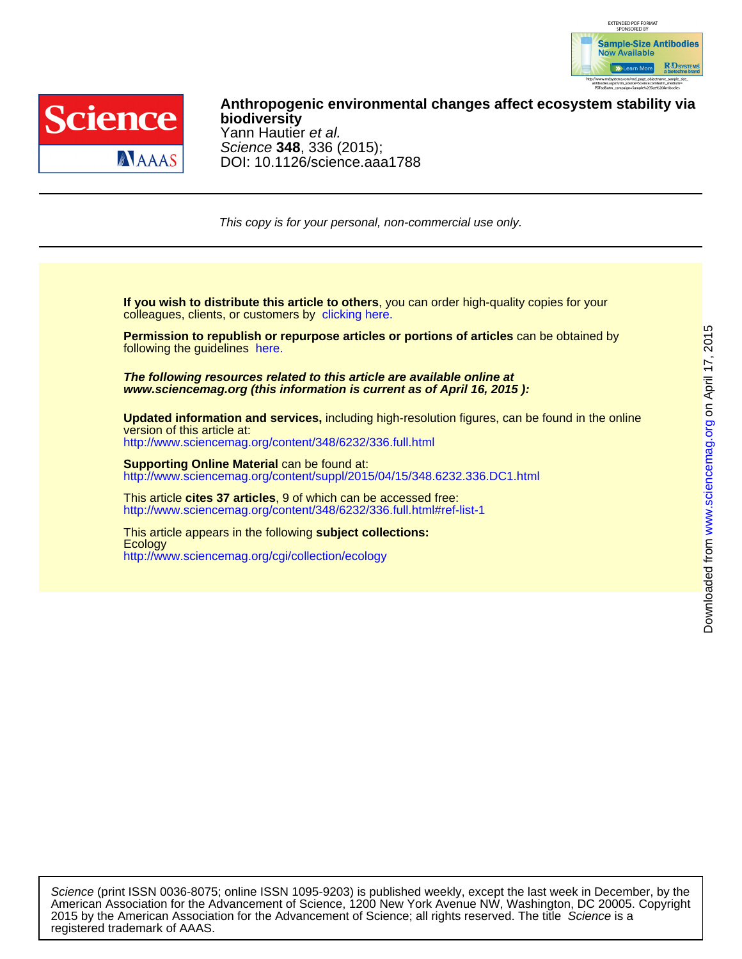



DOI: 10.1126/science.aaa1788 Science **348**, 336 (2015); Yann Hautier et al. **biodiversity Anthropogenic environmental changes affect ecosystem stability via**

This copy is for your personal, non-commercial use only.

colleagues, clients, or customers by [clicking here.](http://www.sciencemag.org/about/permissions.dtl) **If you wish to distribute this article to others**, you can order high-quality copies for your

following the guidelines [here.](http://www.sciencemag.org/about/permissions.dtl) **Permission to republish or repurpose articles or portions of articles** can be obtained by

**www.sciencemag.org (this information is current as of April 16, 2015 ): The following resources related to this article are available online at**

<http://www.sciencemag.org/content/348/6232/336.full.html> version of this article at: **Updated information and services,** including high-resolution figures, can be found in the online

[http://www.sciencemag.org/content/suppl/2015/04/15/348.6232.336.DC1.html](http://www.sciencemag.org/content/suppl/2015/04/15/348.6232.336.DC1.html )  **Supporting Online Material** can be found at:

<http://www.sciencemag.org/content/348/6232/336.full.html#ref-list-1> This article **cites 37 articles**, 9 of which can be accessed free:

<http://www.sciencemag.org/cgi/collection/ecology> **Ecology** This article appears in the following **subject collections:**

registered trademark of AAAS. 2015 by the American Association for the Advancement of Science; all rights reserved. The title Science is a American Association for the Advancement of Science, 1200 New York Avenue NW, Washington, DC 20005. Copyright Science (print ISSN 0036-8075; online ISSN 1095-9203) is published weekly, except the last week in December, by the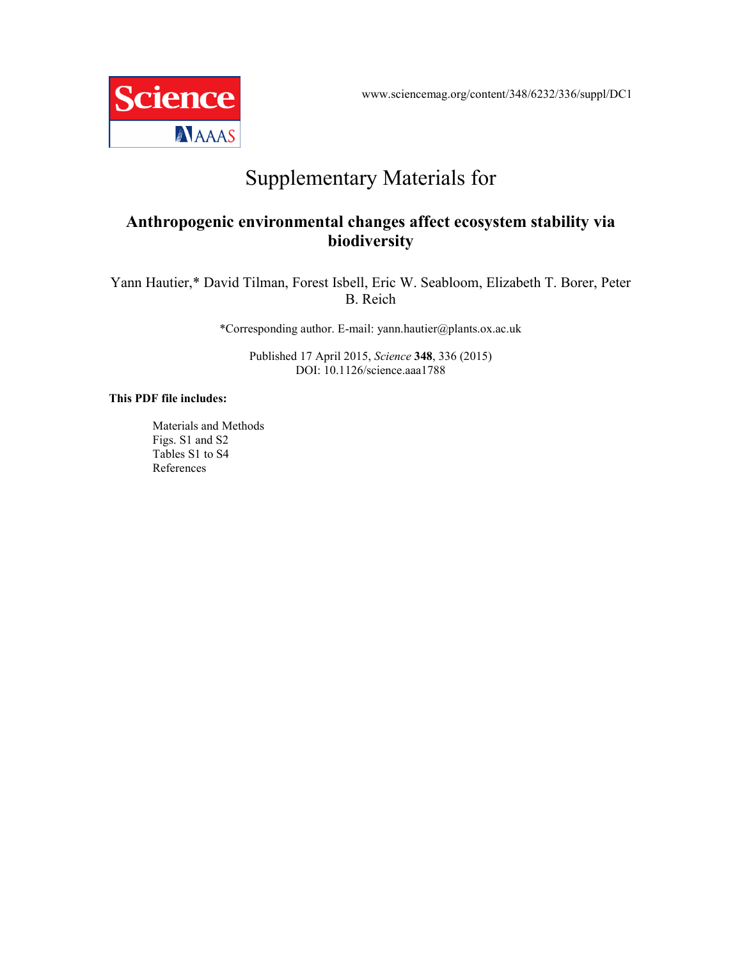www.sciencemag.org/content/348/6232/336/suppl/DC1



# Supplementary Materials for

# **Anthropogenic environmental changes affect ecosystem stability via biodiversity**

Yann Hautier,\* David Tilman, Forest Isbell, Eric W. Seabloom, Elizabeth T. Borer, Peter B. Reich

\*Corresponding author. E-mail: yann.hautier@plants.ox.ac.uk

Published 17 April 2015, *Science* **348**, 336 (2015) DOI: 10.1126/science.aaa1788

## **This PDF file includes:**

Materials and Methods Figs. S1 and S2 Tables S1 to S4 References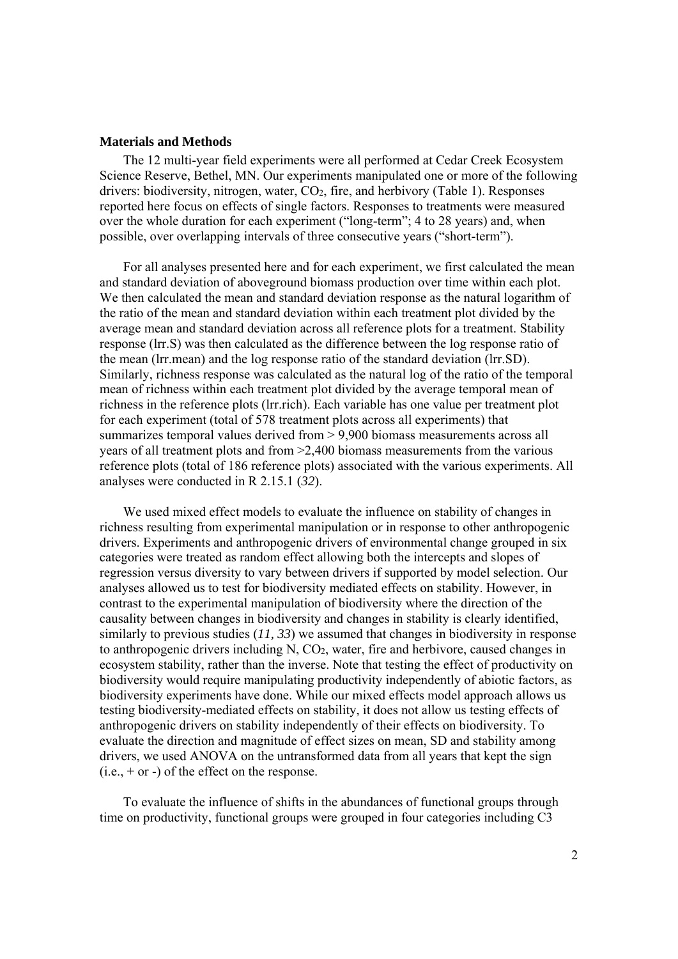## **Materials and Methods**

The 12 multi-year field experiments were all performed at Cedar Creek Ecosystem Science Reserve, Bethel, MN. Our experiments manipulated one or more of the following drivers: biodiversity, nitrogen, water, CO2, fire, and herbivory (Table 1). Responses reported here focus on effects of single factors. Responses to treatments were measured over the whole duration for each experiment ("long-term"; 4 to 28 years) and, when possible, over overlapping intervals of three consecutive years ("short-term").

For all analyses presented here and for each experiment, we first calculated the mean and standard deviation of aboveground biomass production over time within each plot. We then calculated the mean and standard deviation response as the natural logarithm of the ratio of the mean and standard deviation within each treatment plot divided by the average mean and standard deviation across all reference plots for a treatment. Stability response (lrr.S) was then calculated as the difference between the log response ratio of the mean (lrr.mean) and the log response ratio of the standard deviation (lrr.SD). Similarly, richness response was calculated as the natural log of the ratio of the temporal mean of richness within each treatment plot divided by the average temporal mean of richness in the reference plots (lrr.rich). Each variable has one value per treatment plot for each experiment (total of 578 treatment plots across all experiments) that summarizes temporal values derived from > 9,900 biomass measurements across all years of all treatment plots and from >2,400 biomass measurements from the various reference plots (total of 186 reference plots) associated with the various experiments. All analyses were conducted in R 2.15.1 (*32*).

We used mixed effect models to evaluate the influence on stability of changes in richness resulting from experimental manipulation or in response to other anthropogenic drivers. Experiments and anthropogenic drivers of environmental change grouped in six categories were treated as random effect allowing both the intercepts and slopes of regression versus diversity to vary between drivers if supported by model selection. Our analyses allowed us to test for biodiversity mediated effects on stability. However, in contrast to the experimental manipulation of biodiversity where the direction of the causality between changes in biodiversity and changes in stability is clearly identified, similarly to previous studies (*11, 33*) we assumed that changes in biodiversity in response to anthropogenic drivers including N, CO2, water, fire and herbivore, caused changes in ecosystem stability, rather than the inverse. Note that testing the effect of productivity on biodiversity would require manipulating productivity independently of abiotic factors, as biodiversity experiments have done. While our mixed effects model approach allows us testing biodiversity-mediated effects on stability, it does not allow us testing effects of anthropogenic drivers on stability independently of their effects on biodiversity. To evaluate the direction and magnitude of effect sizes on mean, SD and stability among drivers, we used ANOVA on the untransformed data from all years that kept the sign  $(i.e., + or -)$  of the effect on the response.

To evaluate the influence of shifts in the abundances of functional groups through time on productivity, functional groups were grouped in four categories including C3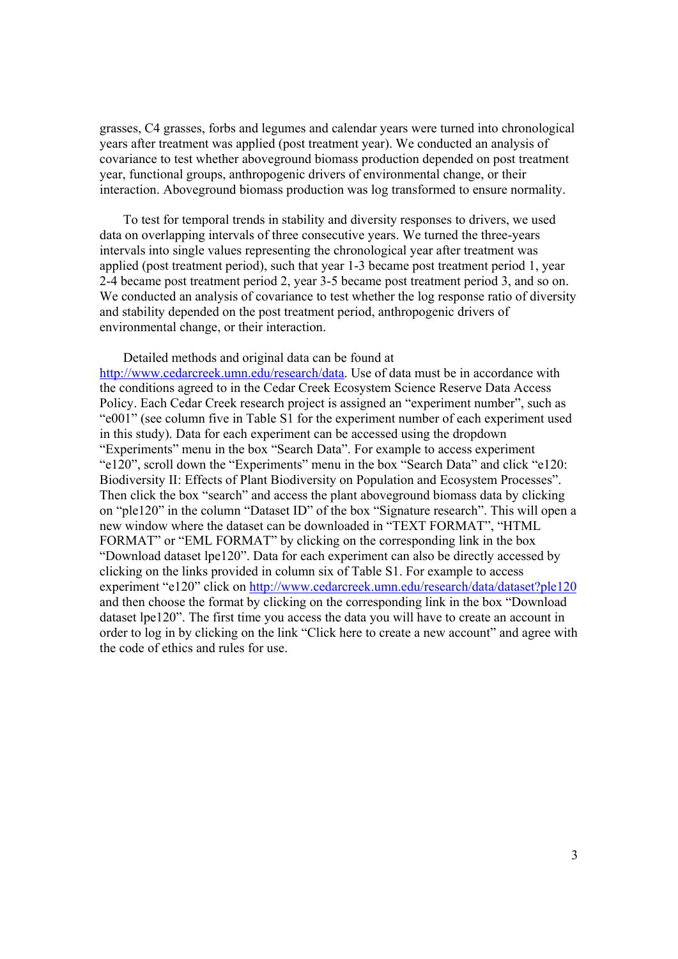grasses, C4 grasses, forbs and legumes and calendar years were turned into chronological years after treatment was applied (post treatment year). We conducted an analysis of covariance to test whether aboveground biomass production depended on post treatment year, functional groups, anthropogenic drivers of environmental change, or their interaction. Aboveground biomass production was log transformed to ensure normality.

To test for temporal trends in stability and diversity responses to drivers, we used data on overlapping intervals of three consecutive years. We turned the three-years intervals into single values representing the chronological year after treatment was applied (post treatment period), such that year 1-3 became post treatment period 1, year 2-4 became post treatment period 2, year 3-5 became post treatment period 3, and so on. We conducted an analysis of covariance to test whether the log response ratio of diversity and stability depended on the post treatment period, anthropogenic drivers of environmental change, or their interaction.

## Detailed methods and original data can be found at

http://www.cedarcreek.umn.edu/research/data. Use of data must be in accordance with the conditions agreed to in the Cedar Creek Ecosystem Science Reserve Data Access Policy. Each Cedar Creek research project is assigned an "experiment number", such as "e001" (see column five in Table S1 for the experiment number of each experiment used in this study). Data for each experiment can be accessed using the dropdown "Experiments" menu in the box "Search Data". For example to access experiment "e120", scroll down the "Experiments" menu in the box "Search Data" and click "e120: Biodiversity II: Effects of Plant Biodiversity on Population and Ecosystem Processes". Then click the box "search" and access the plant aboveground biomass data by clicking on "ple120" in the column "Dataset ID" of the box "Signature research". This will open a new window where the dataset can be downloaded in "TEXT FORMAT", "HTML FORMAT" or "EML FORMAT" by clicking on the corresponding link in the box "Download dataset lpe120". Data for each experiment can also be directly accessed by clicking on the links provided in column six of Table S1. For example to access experiment "e120" click on http://www.cedarcreek.umn.edu/research/data/dataset?ple120 and then choose the format by clicking on the corresponding link in the box "Download dataset lpe120". The first time you access the data you will have to create an account in order to log in by clicking on the link "Click here to create a new account" and agree with the code of ethics and rules for use.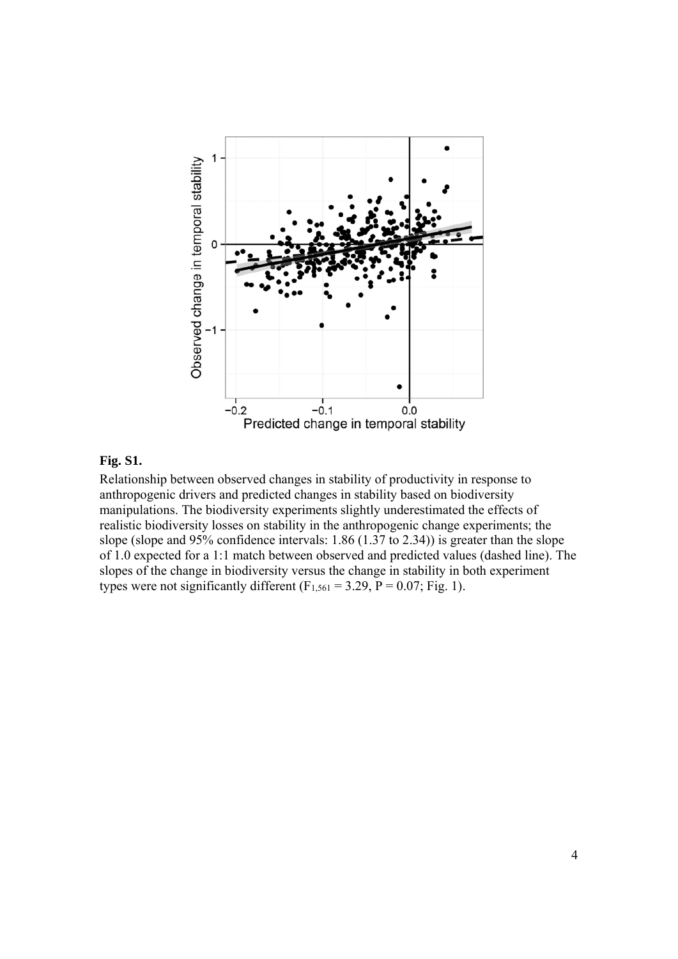

# **Fig. S1.**

Relationship between observed changes in stability of productivity in response to anthropogenic drivers and predicted changes in stability based on biodiversity manipulations. The biodiversity experiments slightly underestimated the effects of realistic biodiversity losses on stability in the anthropogenic change experiments; the slope (slope and 95% confidence intervals: 1.86 (1.37 to 2.34)) is greater than the slope of 1.0 expected for a 1:1 match between observed and predicted values (dashed line). The slopes of the change in biodiversity versus the change in stability in both experiment types were not significantly different  $(F_{1,561} = 3.29, P = 0.07; Fig. 1)$ .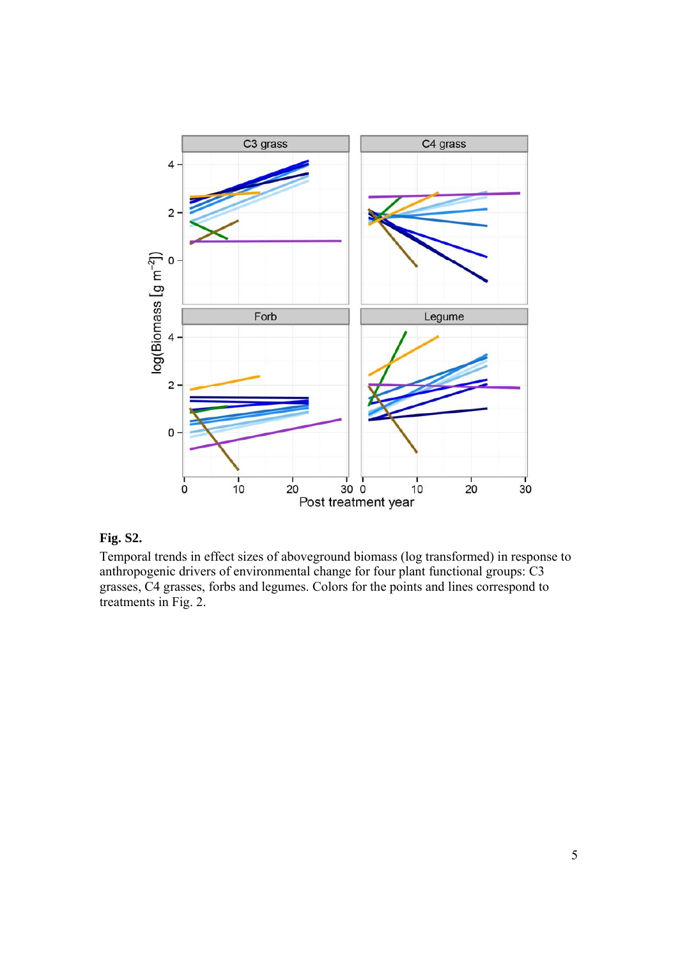

# **Fig. S2.**

Temporal trends in effect sizes of aboveground biomass (log transformed) in response to anthropogenic drivers of environmental change for four plant functional groups: C3 grasses, C4 grasses, forbs and legumes. Colors for the points and lines correspond to treatments in Fig. 2.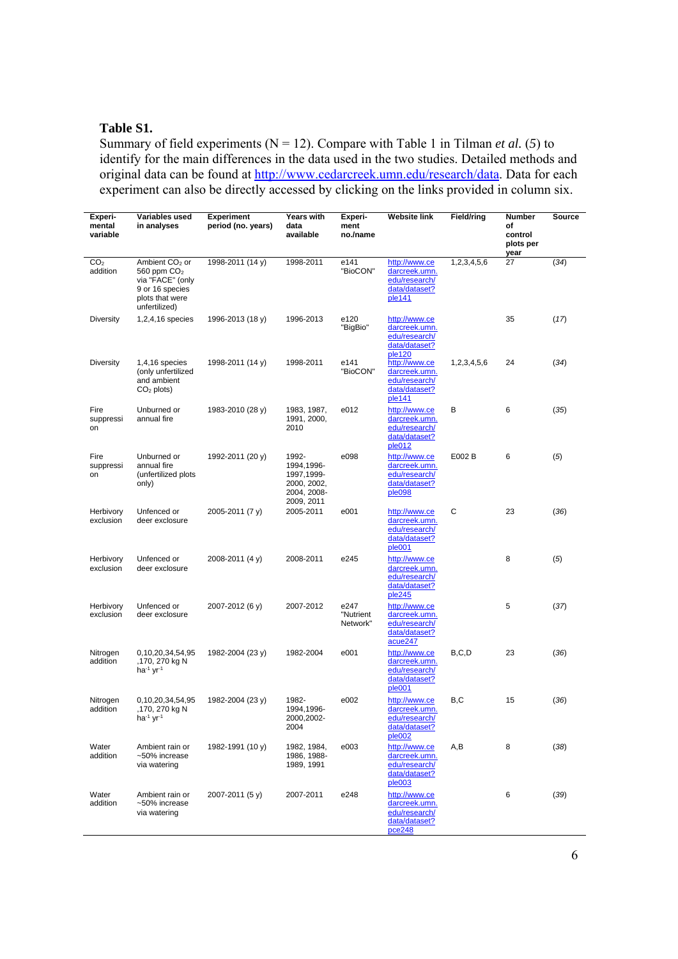# **Table S1.**

Summary of field experiments ( $N = 12$ ). Compare with Table 1 in Tilman *et al.* (5) to identify for the main differences in the data used in the two studies. Detailed methods and original data can be found at http://www.cedarcreek.umn.edu/research/data. Data for each experiment can also be directly accessed by clicking on the links provided in column six.

| Experi-<br>mental<br>variable | Variables used<br>in analyses                                                                                          | <b>Experiment</b><br>period (no. years) | <b>Years with</b><br>data<br>available                                         | Experi-<br>ment<br>no./name   | Website link                                                                | <b>Field/ring</b> | Number<br>of<br>control | Source |
|-------------------------------|------------------------------------------------------------------------------------------------------------------------|-----------------------------------------|--------------------------------------------------------------------------------|-------------------------------|-----------------------------------------------------------------------------|-------------------|-------------------------|--------|
|                               |                                                                                                                        |                                         |                                                                                |                               |                                                                             |                   | plots per<br>year       |        |
| CO <sub>2</sub><br>addition   | Ambient CO <sub>2</sub> or<br>560 ppm $CO2$<br>via "FACE" (only<br>9 or 16 species<br>plots that were<br>unfertilized) | 1998-2011 (14 y)                        | 1998-2011                                                                      | e141<br>"BioCON"              | http://www.ce<br>darcreek.umn.<br>edu/research/<br>data/dataset?<br>ple141  | 1,2,3,4,5,6       | 27                      | (34)   |
| <b>Diversity</b>              | 1,2,4,16 species                                                                                                       | 1996-2013 (18 y)                        | 1996-2013                                                                      | e120<br>"BigBio"              | http://www.ce<br>darcreek.umn.<br>edu/research/<br>data/dataset?<br>ple120  |                   | 35                      | (17)   |
| <b>Diversity</b>              | 1,4,16 species<br>(only unfertilized<br>and ambient<br>$CO2$ plots)                                                    | 1998-2011 (14 y)                        | 1998-2011                                                                      | e141<br>"BioCON"              | http://www.ce<br>darcreek.umn.<br>edu/research/<br>data/dataset?<br>ple141  | 1,2,3,4,5,6       | 24                      | (34)   |
| Fire<br>suppressi<br>on       | Unburned or<br>annual fire                                                                                             | 1983-2010 (28 y)                        | 1983, 1987,<br>1991, 2000,<br>2010                                             | e012                          | http://www.ce<br>darcreek.umn.<br>edu/research/<br>data/dataset?<br>ple012  | в                 | 6                       | (35)   |
| Fire<br>suppressi<br>on       | Unburned or<br>annual fire<br>(unfertilized plots<br>only)                                                             | 1992-2011 (20 y)                        | 1992-<br>1994,1996-<br>1997, 1999-<br>2000, 2002,<br>2004, 2008-<br>2009, 2011 | e098                          | http://www.ce<br>darcreek.umn.<br>edu/research/<br>data/dataset?<br>ple098  | E002 B            | 6                       | (5)    |
| Herbivory<br>exclusion        | Unfenced or<br>deer exclosure                                                                                          | 2005-2011 (7 y)                         | 2005-2011                                                                      | e001                          | http://www.ce<br>darcreek.umn.<br>edu/research/<br>data/dataset?<br>ple001  | С                 | 23                      | (36)   |
| Herbivory<br>exclusion        | Unfenced or<br>deer exclosure                                                                                          | 2008-2011 (4 y)                         | 2008-2011                                                                      | e245                          | http://www.ce<br>darcreek.umn.<br>edu/research/<br>data/dataset?<br>ple245  |                   | 8                       | (5)    |
| Herbivory<br>exclusion        | Unfenced or<br>deer exclosure                                                                                          | 2007-2012 (6 y)                         | 2007-2012                                                                      | e247<br>"Nutrient<br>Network" | http://www.ce<br>darcreek.umn.<br>edu/research/<br>data/dataset?<br>acue247 |                   | 5                       | (37)   |
| Nitrogen<br>addition          | 0,10,20,34,54,95<br>,170, 270 kg N<br>ha $-1$ yr $1$                                                                   | 1982-2004 (23 y)                        | 1982-2004                                                                      | e001                          | http://www.ce<br>darcreek.umn.<br>edu/research/<br>data/dataset?<br>ple001  | B, C, D           | 23                      | (36)   |
| Nitrogen<br>addition          | 0,10,20,34,54,95<br>,170, 270 kg N<br>ha <sup>-1</sup> yr <sup>-1</sup>                                                | 1982-2004 (23 y)                        | 1982-<br>1994,1996-<br>2000,2002-<br>2004                                      | e002                          | http://www.ce<br>darcreek.umn.<br>edu/research/<br>data/dataset?<br>ple002  | B,C               | 15                      | (36)   |
| Water<br>addition             | Ambient rain or<br>~50% increase<br>via watering                                                                       | 1982-1991 (10 y)                        | 1982, 1984,<br>1986, 1988-<br>1989, 1991                                       | e003                          | http://www.ce<br>darcreek.umn.<br>edu/research/<br>data/dataset?<br>ple003  | A,B               | 8                       | (38)   |
| Water<br>addition             | Ambient rain or<br>~50% increase<br>via watering                                                                       | 2007-2011 (5 y)                         | 2007-2011                                                                      | e248                          | http://www.ce<br>darcreek.umn.<br>edu/research/<br>data/dataset?<br>pce248  |                   | 6                       | (39)   |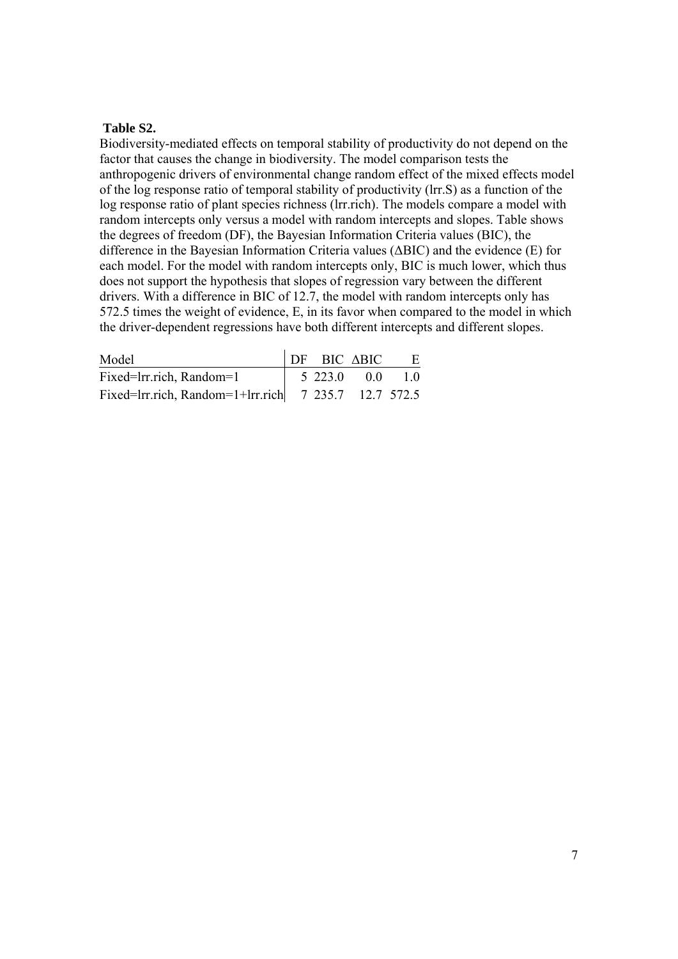## **Table S2.**

Biodiversity-mediated effects on temporal stability of productivity do not depend on the factor that causes the change in biodiversity. The model comparison tests the anthropogenic drivers of environmental change random effect of the mixed effects model of the log response ratio of temporal stability of productivity (lrr.S) as a function of the log response ratio of plant species richness (lrr.rich). The models compare a model with random intercepts only versus a model with random intercepts and slopes. Table shows the degrees of freedom (DF), the Bayesian Information Criteria values (BIC), the difference in the Bayesian Information Criteria values (ΔBIC) and the evidence (E) for each model. For the model with random intercepts only, BIC is much lower, which thus does not support the hypothesis that slopes of regression vary between the different drivers. With a difference in BIC of 12.7, the model with random intercepts only has 572.5 times the weight of evidence, E, in its favor when compared to the model in which the driver-dependent regressions have both different intercepts and different slopes.

| Model                                                                                      |            | $DF$ BIC $\triangle BIC$ | E  |
|--------------------------------------------------------------------------------------------|------------|--------------------------|----|
| Fixed=lrr.rich, Random=1                                                                   | 5 2 2 3 .0 | 0 <sub>0</sub>           | 10 |
| Fixed=Irr.rich, Random=1+Irr.rich $\begin{array}{ l} 7 & 235.7 & 12.7 & 572.5 \end{array}$ |            |                          |    |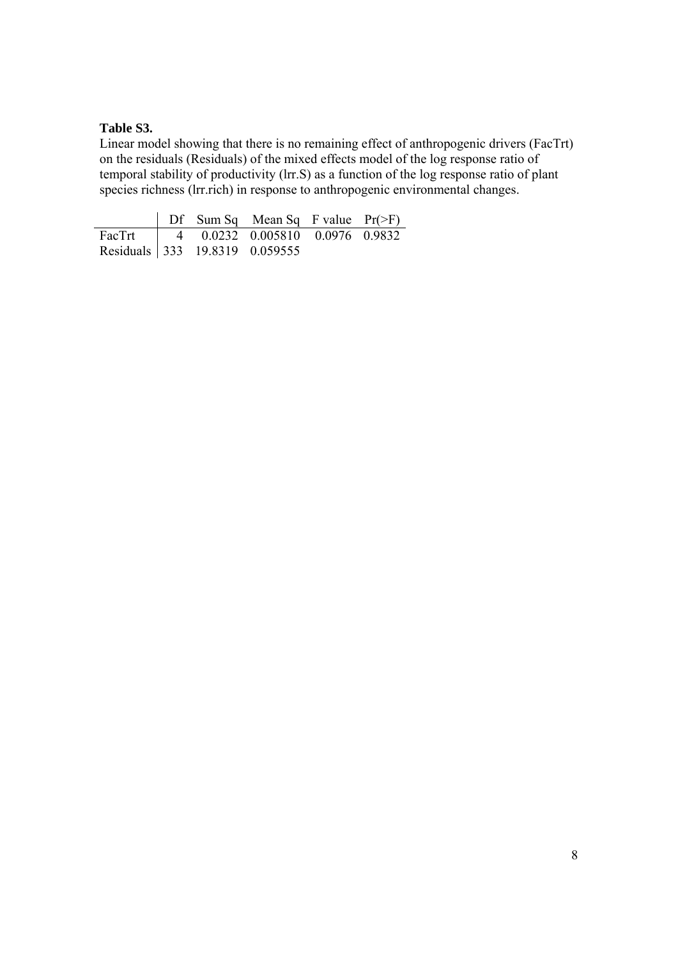# **Table S3.**

Linear model showing that there is no remaining effect of anthropogenic drivers (FacTrt) on the residuals (Residuals) of the mixed effects model of the log response ratio of temporal stability of productivity (lrr.S) as a function of the log response ratio of plant species richness (lrr.rich) in response to anthropogenic environmental changes.

|                                          |  | $\vert$ Df Sum Sq Mean Sq F value Pr(>F) |  |
|------------------------------------------|--|------------------------------------------|--|
| FacTrt   4 0.0232 0.005810 0.0976 0.9832 |  |                                          |  |
| Residuals 333 19.8319 0.059555           |  |                                          |  |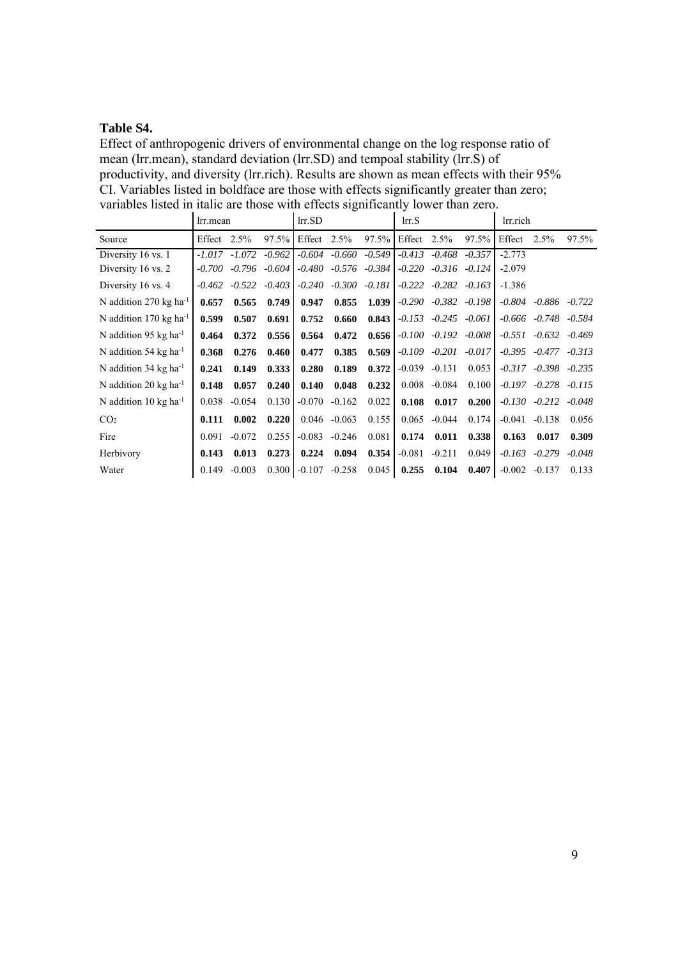# **Table S4.**

Effect of anthropogenic drivers of environmental change on the log response ratio of mean (lrr.mean), standard deviation (lrr.SD) and tempoal stability (lrr.S) of productivity, and diversity (lrr.rich). Results are shown as mean effects with their 95% CI. Variables listed in boldface are those with effects significantly greater than zero; variables listed in italic are those with effects significantly lower than zero.

|                                     | lrr.mean |                  |          | $Irr$ . $SD$ |                            |          | Irr.S    |                            |          | lrr.rich |                            |                   |
|-------------------------------------|----------|------------------|----------|--------------|----------------------------|----------|----------|----------------------------|----------|----------|----------------------------|-------------------|
| Source                              | Effect   | 2.5%             | 97.5%    | Effect       | 2.5%                       | $97.5\%$ | Effect   | $2.5\%$                    | 97.5%    | Effect   | 2.5%                       | 97.5%             |
| Diversity 16 vs. 1                  |          | $-1.017 - 1.072$ | $-0.962$ |              | $-0.604 - 0.660$           | $-0.549$ |          | $-0.413$ $-0.468$ $-0.357$ |          | $-2.773$ |                            |                   |
| Diversity 16 vs. 2                  | $-0.700$ | -0.796           | $-0.604$ |              | $-0.480$ $-0.576$ $-0.384$ |          |          | $-0.220$ $-0.316$ $-0.124$ |          | $-2.079$ |                            |                   |
| Diversity 16 vs. 4                  | $-0.462$ | $-0.522$         | $-0.403$ | $-0.240$     | $-0.300 - 0.181$           |          | $-0.222$ | $-0.282$                   | $-0.163$ | $-1.386$ |                            |                   |
| N addition 270 kg ha <sup>-1</sup>  | 0.657    | 0.565            | 0.749    | 0.947        | 0.855                      | 1.039    | $-0.290$ | $-0.382 - 0.198$           |          |          | $-0.804$ $-0.886$ $-0.722$ |                   |
| N addition 170 kg ha <sup>-1</sup>  | 0.599    | 0.507            | 0.691    | 0.752        | 0.660                      | 0.843    |          | $-0.153$ $-0.245$ $-0.061$ |          |          | $-0.666$ $-0.748$ $-0.584$ |                   |
| N addition 95 kg ha <sup>-1</sup>   | 0.464    | 0.372            | 0.556    | 0.564        | 0.472                      | 0.656    |          | $-0.100 - 0.192 - 0.008$   |          |          | $-0.551 - 0.632 - 0.469$   |                   |
| N addition 54 kg ha <sup>-1</sup>   | 0.368    | 0.276            | 0.460    | 0.477        | 0.385                      | 0.569    |          | $-0.109 - 0.201$           | $-0.017$ |          | $-0.395$ $-0.477$ $-0.313$ |                   |
| N addition 34 kg ha <sup>-1</sup>   | 0.241    | 0.149            | 0.333    | 0.280        | 0.189                      | 0.372    | $-0.039$ | $-0.131$                   | 0.053    |          | $-0.317$ $-0.398$ $-0.235$ |                   |
| N addition 20 $kg$ ha <sup>-1</sup> | 0.148    | 0.057            | 0.240    | 0.140        | 0.048                      | 0.232    | 0.008    | $-0.084$                   | 0.100    | $-0.197$ |                            | $-0.278$ $-0.115$ |
| N addition 10 kg ha <sup>-1</sup>   | 0.038    | $-0.054$         | 0.130    | $-0.070$     | $-0.162$                   | 0.022    | 0.108    | 0.017                      | 0.200    |          | $-0.130 -0.212 -0.048$     |                   |
| CO <sub>2</sub>                     | 0.111    | 0.002            | 0.220    |              | $0.046 - 0.063$            | 0.155    | 0.065    | $-0.044$                   | 0.174    | $-0.041$ | $-0.138$                   | 0.056             |
| Fire                                | 0.091    | $-0.072$         | 0.255    | $-0.083$     | $-0.246$                   | 0.081    | 0.174    | 0.011                      | 0.338    | 0.163    | 0.017                      | 0.309             |
| Herbivory                           | 0.143    | 0.013            | 0.273    | 0.224        | 0.094                      | 0.354    | $-0.081$ | $-0.211$                   | 0.049    |          | $-0.163 - 0.279$           | $-0.048$          |
| Water                               | 0.149    | $-0.003$         | 0.300    | $-0.107$     | $-0.258$                   | 0.045    | 0.255    | 0.104                      | 0.407    | $-0.002$ | $-0.137$                   | 0.133             |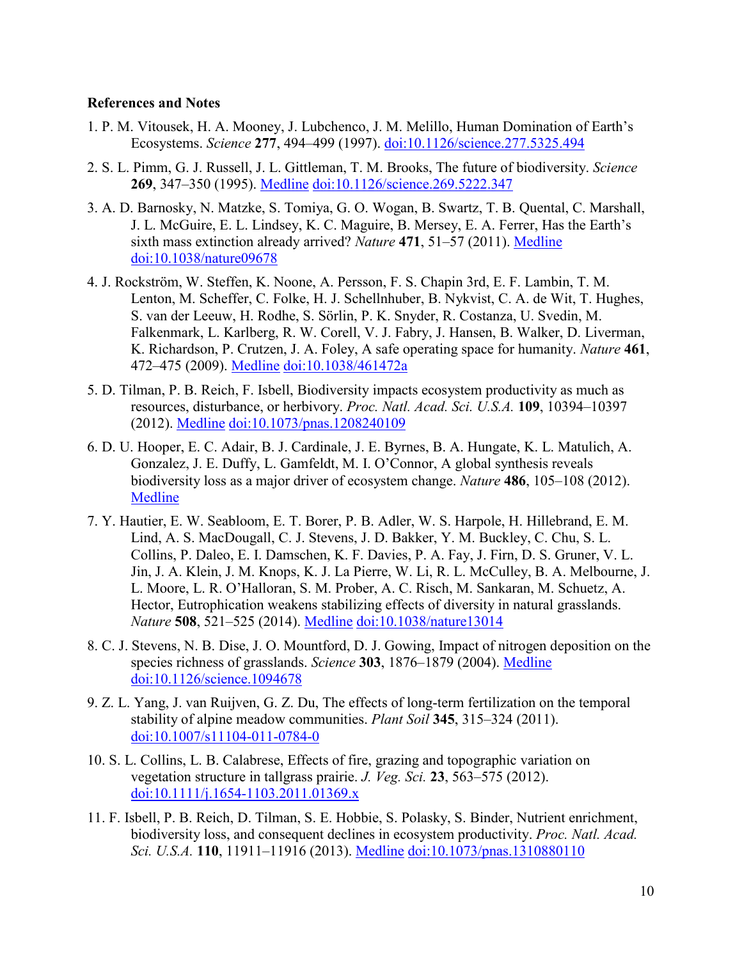# **References and Notes**

- 1. P. M. Vitousek, H. A. Mooney, J. Lubchenco, J. M. Melillo, Human Domination of Earth's Ecosystems. *Science* **277**, 494–499 (1997). [doi:10.1126/science.277.5325.494](http://dx.doi.org/10.1126/science.277.5325.494)
- 2. S. L. Pimm, G. J. Russell, J. L. Gittleman, T. M. Brooks, The future of biodiversity. *Science* **269**, 347–350 (1995). [Medline](http://www.ncbi.nlm.nih.gov/entrez/query.fcgi?cmd=Retrieve&db=PubMed&list_uids=17841251&dopt=Abstract) [doi:10.1126/science.269.5222.347](http://dx.doi.org/10.1126/science.269.5222.347)
- 3. A. D. Barnosky, N. Matzke, S. Tomiya, G. O. Wogan, B. Swartz, T. B. Quental, C. Marshall, J. L. McGuire, E. L. Lindsey, K. C. Maguire, B. Mersey, E. A. Ferrer, Has the Earth's sixth mass extinction already arrived? *Nature* **471**, 51–57 (2011). [Medline](http://www.ncbi.nlm.nih.gov/entrez/query.fcgi?cmd=Retrieve&db=PubMed&list_uids=21368823&dopt=Abstract) [doi:10.1038/nature09678](http://dx.doi.org/10.1038/nature09678)
- 4. J. Rockström, W. Steffen, K. Noone, A. Persson, F. S. Chapin 3rd, E. F. Lambin, T. M. Lenton, M. Scheffer, C. Folke, H. J. Schellnhuber, B. Nykvist, C. A. de Wit, T. Hughes, S. van der Leeuw, H. Rodhe, S. Sörlin, P. K. Snyder, R. Costanza, U. Svedin, M. Falkenmark, L. Karlberg, R. W. Corell, V. J. Fabry, J. Hansen, B. Walker, D. Liverman, K. Richardson, P. Crutzen, J. A. Foley, A safe operating space for humanity. *Nature* **461**, 472–475 (2009). [Medline](http://www.ncbi.nlm.nih.gov/entrez/query.fcgi?cmd=Retrieve&db=PubMed&list_uids=19779433&dopt=Abstract) [doi:10.1038/461472a](http://dx.doi.org/10.1038/461472a)
- 5. D. Tilman, P. B. Reich, F. Isbell, Biodiversity impacts ecosystem productivity as much as resources, disturbance, or herbivory. *Proc. Natl. Acad. Sci. U.S.A.* **109**, 10394–10397 (2012). [Medline](http://www.ncbi.nlm.nih.gov/entrez/query.fcgi?cmd=Retrieve&db=PubMed&list_uids=22689971&dopt=Abstract) [doi:10.1073/pnas.1208240109](http://dx.doi.org/10.1073/pnas.1208240109)
- 6. D. U. Hooper, E. C. Adair, B. J. Cardinale, J. E. Byrnes, B. A. Hungate, K. L. Matulich, A. Gonzalez, J. E. Duffy, L. Gamfeldt, M. I. O'Connor, A global synthesis reveals biodiversity loss as a major driver of ecosystem change. *Nature* **486**, 105–108 (2012)[.](http://www.ncbi.nlm.nih.gov/entrez/query.fcgi?cmd=Retrieve&db=PubMed&list_uids=22678289&dopt=Abstract) [Medline](http://www.ncbi.nlm.nih.gov/entrez/query.fcgi?cmd=Retrieve&db=PubMed&list_uids=22678289&dopt=Abstract)
- 7. Y. Hautier, E. W. Seabloom, E. T. Borer, P. B. Adler, W. S. Harpole, H. Hillebrand, E. M. Lind, A. S. MacDougall, C. J. Stevens, J. D. Bakker, Y. M. Buckley, C. Chu, S. L. Collins, P. Daleo, E. I. Damschen, K. F. Davies, P. A. Fay, J. Firn, D. S. Gruner, V. L. Jin, J. A. Klein, J. M. Knops, K. J. La Pierre, W. Li, R. L. McCulley, B. A. Melbourne, J. L. Moore, L. R. O'Halloran, S. M. Prober, A. C. Risch, M. Sankaran, M. Schuetz, A. Hector, Eutrophication weakens stabilizing effects of diversity in natural grasslands. *Nature* **508**, 521–525 (2014). [Medline](http://www.ncbi.nlm.nih.gov/entrez/query.fcgi?cmd=Retrieve&db=PubMed&list_uids=24531763&dopt=Abstract) [doi:10.1038/nature13014](http://dx.doi.org/10.1038/nature13014)
- 8. C. J. Stevens, N. B. Dise, J. O. Mountford, D. J. Gowing, Impact of nitrogen deposition on the species richness of grasslands. *Science* **303**, 1876–1879 (2004). [Medline](http://www.ncbi.nlm.nih.gov/entrez/query.fcgi?cmd=Retrieve&db=PubMed&list_uids=15031507&dopt=Abstract) [doi:10.1126/science.1094678](http://dx.doi.org/10.1126/science.1094678)
- 9. Z. L. Yang, J. van Ruijven, G. Z. Du, The effects of long-term fertilization on the temporal stability of alpine meadow communities. *Plant Soil* **345**, 315–324 (2011). [doi:10.1007/s11104-011-0784-0](http://dx.doi.org/10.1007/s11104-011-0784-0)
- 10. S. L. Collins, L. B. Calabrese, Effects of fire, grazing and topographic variation on vegetation structure in tallgrass prairie. *J. Veg. Sci.* **23**, 563–575 (2012). [doi:10.1111/j.1654-1103.2011.01369.x](http://dx.doi.org/10.1111/j.1654-1103.2011.01369.x)
- 11. F. Isbell, P. B. Reich, D. Tilman, S. E. Hobbie, S. Polasky, S. Binder, Nutrient enrichment, biodiversity loss, and consequent declines in ecosystem productivity. *Proc. Natl. Acad. Sci. U.S.A.* **110**, 11911–11916 (2013). [Medline](http://www.ncbi.nlm.nih.gov/entrez/query.fcgi?cmd=Retrieve&db=PubMed&list_uids=23818582&dopt=Abstract) [doi:10.1073/pnas.1310880110](http://dx.doi.org/10.1073/pnas.1310880110)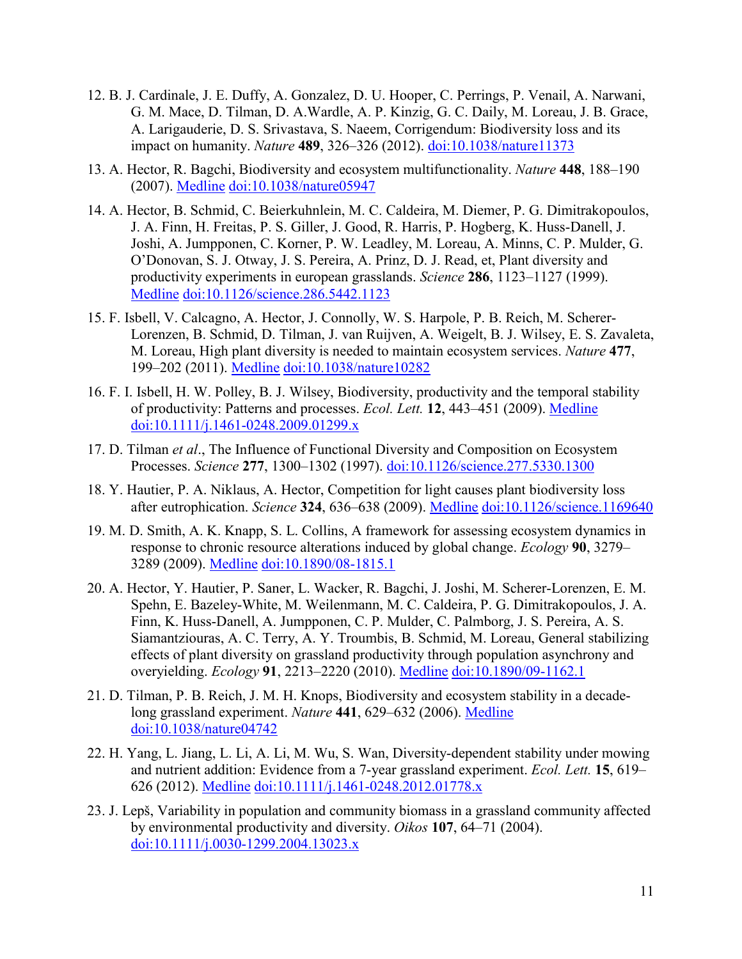- 12. B. J. Cardinale, J. E. Duffy, A. Gonzalez, D. U. Hooper, C. Perrings, P. Venail, A. Narwani, G. M. Mace, D. Tilman, D. A.Wardle, A. P. Kinzig, G. C. Daily, M. Loreau, J. B. Grace, A. Larigauderie, D. S. Srivastava, S. Naeem, Corrigendum: Biodiversity loss and its impact on humanity. *Nature* **489**, 326–326 (2012). [doi:10.1038/nature11373](http://dx.doi.org/10.1038/nature11373)
- 13. A. Hector, R. Bagchi, Biodiversity and ecosystem multifunctionality. *Nature* **448**, 188–190 (2007). [Medline](http://www.ncbi.nlm.nih.gov/entrez/query.fcgi?cmd=Retrieve&db=PubMed&list_uids=17625564&dopt=Abstract) [doi:10.1038/nature05947](http://dx.doi.org/10.1038/nature05947)
- 14. A. Hector, B. Schmid, C. Beierkuhnlein, M. C. Caldeira, M. Diemer, P. G. Dimitrakopoulos, J. A. Finn, H. Freitas, P. S. Giller, J. Good, R. Harris, P. Hogberg, K. Huss-Danell, J. Joshi, A. Jumpponen, C. Korner, P. W. Leadley, M. Loreau, A. Minns, C. P. Mulder, G. O'Donovan, S. J. Otway, J. S. Pereira, A. Prinz, D. J. Read, et, Plant diversity and productivity experiments in european grasslands. *Science* **286**, 1123–1127 (1999)[.](http://www.ncbi.nlm.nih.gov/entrez/query.fcgi?cmd=Retrieve&db=PubMed&list_uids=10550043&dopt=Abstract) [Medline](http://www.ncbi.nlm.nih.gov/entrez/query.fcgi?cmd=Retrieve&db=PubMed&list_uids=10550043&dopt=Abstract) [doi:10.1126/science.286.5442.1123](http://dx.doi.org/10.1126/science.286.5442.1123)
- 15. F. Isbell, V. Calcagno, A. Hector, J. Connolly, W. S. Harpole, P. B. Reich, M. Scherer-Lorenzen, B. Schmid, D. Tilman, J. van Ruijven, A. Weigelt, B. J. Wilsey, E. S. Zavaleta, M. Loreau, High plant diversity is needed to maintain ecosystem services. *Nature* **477**, 199–202 (2011). [Medline](http://www.ncbi.nlm.nih.gov/entrez/query.fcgi?cmd=Retrieve&db=PubMed&list_uids=21832994&dopt=Abstract) [doi:10.1038/nature10282](http://dx.doi.org/10.1038/nature10282)
- 16. F. I. Isbell, H. W. Polley, B. J. Wilsey, Biodiversity, productivity and the temporal stability of productivity: Patterns and processes. *Ecol. Lett.* **12**, 443–451 (2009). [Medline](http://www.ncbi.nlm.nih.gov/entrez/query.fcgi?cmd=Retrieve&db=PubMed&list_uids=19379138&dopt=Abstract) [doi:10.1111/j.1461-0248.2009.01299.x](http://dx.doi.org/10.1111/j.1461-0248.2009.01299.x)
- 17. D. Tilman *et al*., The Influence of Functional Diversity and Composition on Ecosystem Processes. *Science* **277**, 1300–1302 (1997). [doi:10.1126/science.277.5330.1300](http://dx.doi.org/10.1126/science.277.5330.1300)
- 18. Y. Hautier, P. A. Niklaus, A. Hector, Competition for light causes plant biodiversity loss after eutrophication. *Science* **324**, 636–638 (2009). [Medline](http://www.ncbi.nlm.nih.gov/entrez/query.fcgi?cmd=Retrieve&db=PubMed&list_uids=19407202&dopt=Abstract) [doi:10.1126/science.1169640](http://dx.doi.org/10.1126/science.1169640)
- 19. M. D. Smith, A. K. Knapp, S. L. Collins, A framework for assessing ecosystem dynamics in response to chronic resource alterations induced by global change. *Ecology* **90**, 3279– 3289 (2009). [Medline](http://www.ncbi.nlm.nih.gov/entrez/query.fcgi?cmd=Retrieve&db=PubMed&list_uids=20120798&dopt=Abstract) [doi:10.1890/08-1815.1](http://dx.doi.org/10.1890/08-1815.1)
- 20. A. Hector, Y. Hautier, P. Saner, L. Wacker, R. Bagchi, J. Joshi, M. Scherer-Lorenzen, E. M. Spehn, E. Bazeley-White, M. Weilenmann, M. C. Caldeira, P. G. Dimitrakopoulos, J. A. Finn, K. Huss-Danell, A. Jumpponen, C. P. Mulder, C. Palmborg, J. S. Pereira, A. S. Siamantziouras, A. C. Terry, A. Y. Troumbis, B. Schmid, M. Loreau, General stabilizing effects of plant diversity on grassland productivity through population asynchrony and overyielding. *Ecology* **91**, 2213–2220 (2010). [Medline](http://www.ncbi.nlm.nih.gov/entrez/query.fcgi?cmd=Retrieve&db=PubMed&list_uids=20836442&dopt=Abstract) [doi:10.1890/09-1162.1](http://dx.doi.org/10.1890/09-1162.1)
- 21. D. Tilman, P. B. Reich, J. M. H. Knops, Biodiversity and ecosystem stability in a decadelong grassland experiment. *Nature* **441**, 629–632 (2006). [Medline](http://www.ncbi.nlm.nih.gov/entrez/query.fcgi?cmd=Retrieve&db=PubMed&list_uids=16738658&dopt=Abstract) [doi:10.1038/nature04742](http://dx.doi.org/10.1038/nature04742)
- 22. H. Yang, L. Jiang, L. Li, A. Li, M. Wu, S. Wan, Diversity-dependent stability under mowing and nutrient addition: Evidence from a 7-year grassland experiment. *Ecol. Lett.* **15**, 619– 626 (2012). [Medline](http://www.ncbi.nlm.nih.gov/entrez/query.fcgi?cmd=Retrieve&db=PubMed&list_uids=22487498&dopt=Abstract) [doi:10.1111/j.1461-0248.2012.01778.x](http://dx.doi.org/10.1111/j.1461-0248.2012.01778.x)
- 23. J. Lepš, Variability in population and community biomass in a grassland community affected by environmental productivity and diversity. *Oikos* **107**, 64–71 (2004). [doi:10.1111/j.0030-1299.2004.13023.x](http://dx.doi.org/10.1111/j.0030-1299.2004.13023.x)